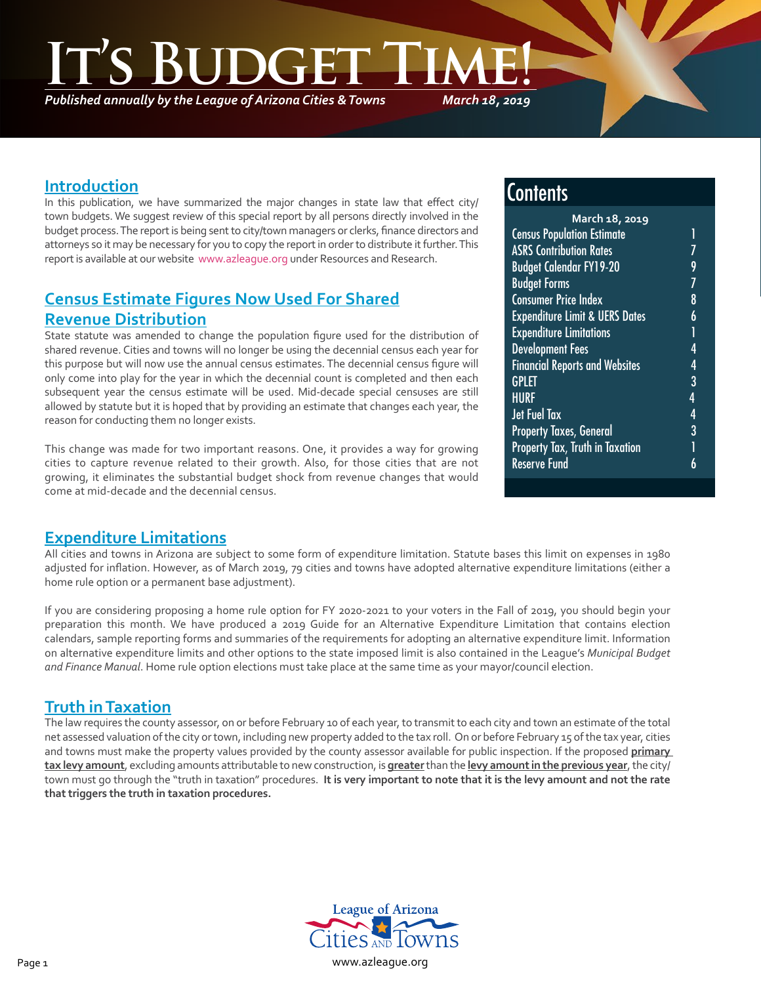**INGER** 

*Published annually by the League of Arizona Cities & Towns*

*March 18, 2019*

### **Introduction**

In this publication, we have summarized the major changes in state law that effect city/ town budgets. We suggest review of this special report by all persons directly involved in the budget process. The report is being sent to city/town managers or clerks, finance directors and attorneys so it may be necessary for you to copy the report in order to distribute it further. This report is available at our website [www.azleague.org](http://www.azleague.org) under Resources and Research.

# **Census Estimate Figures Now Used For Shared Revenue Distribution**

State statute was amended to change the population figure used for the distribution of shared revenue. Cities and towns will no longer be using the decennial census each year for this purpose but will now use the annual census estimates. The decennial census figure will only come into play for the year in which the decennial count is completed and then each subsequent year the census estimate will be used. Mid-decade special censuses are still allowed by statute but it is hoped that by providing an estimate that changes each year, the reason for conducting them no longer exists.

This change was made for two important reasons. One, it provides a way for growing cities to capture revenue related to their growth. Also, for those cities that are not growing, it eliminates the substantial budget shock from revenue changes that would come at mid-decade and the decennial census.

# **Contents**

| March 18, 2019                            |   |  |
|-------------------------------------------|---|--|
| <b>Census Population Estimate</b>         | 1 |  |
| <b>ASRS Contribution Rates</b>            |   |  |
| <b>Budget Calendar FY19-20</b>            | 9 |  |
| <b>Budget Forms</b>                       | 7 |  |
| <b>Consumer Price Index</b>               | 8 |  |
| <b>Expenditure Limit &amp; UERS Dates</b> | 6 |  |
| <b>Expenditure Limitations</b>            | 1 |  |
| <b>Development Fees</b>                   | 4 |  |
| <b>Financial Reports and Websites</b>     | 4 |  |
| <b>GPLET</b>                              | 3 |  |
| <b>HURF</b>                               | 4 |  |
| <b>Jet Fuel Tax</b>                       | 4 |  |
| <b>Property Taxes, General</b>            | 3 |  |
| <b>Property Tax, Truth in Taxation</b>    | 1 |  |
| <b>Reserve Fund</b>                       | 6 |  |
|                                           |   |  |

### **Expenditure Limitations**

All cities and towns in Arizona are subject to some form of expenditure limitation. Statute bases this limit on expenses in 1980 adjusted for inflation. However, as of March 2019, 79 cities and towns have adopted alternative expenditure limitations (either a home rule option or a permanent base adjustment).

If you are considering proposing a home rule option for FY 2020-2021 to your voters in the Fall of 2019, you should begin your preparation this month. We have produced a 2019 Guide for an Alternative Expenditure Limitation that contains election calendars, sample reporting forms and summaries of the requirements for adopting an alternative expenditure limit. Information on alternative expenditure limits and other options to the state imposed limit is also contained in the League's *Municipal Budget and Finance Manual*. Home rule option elections must take place at the same time as your mayor/council election.

## **Truth in Taxation**

The law requires the county assessor, on or before February 10 of each year, to transmit to each city and town an estimate of the total net assessed valuation of the city or town, including new property added to the tax roll. On or before February 15 of the tax year, cities and towns must make the property values provided by the county assessor available for public inspection. If the proposed **primary tax levy amount**, excluding amounts attributable to new construction, is **greater** than the **levy amount in the previous year**, the city/ town must go through the "truth in taxation" procedures. **It is very important to note that it is the levy amount and not the rate that triggers the truth in taxation procedures.**

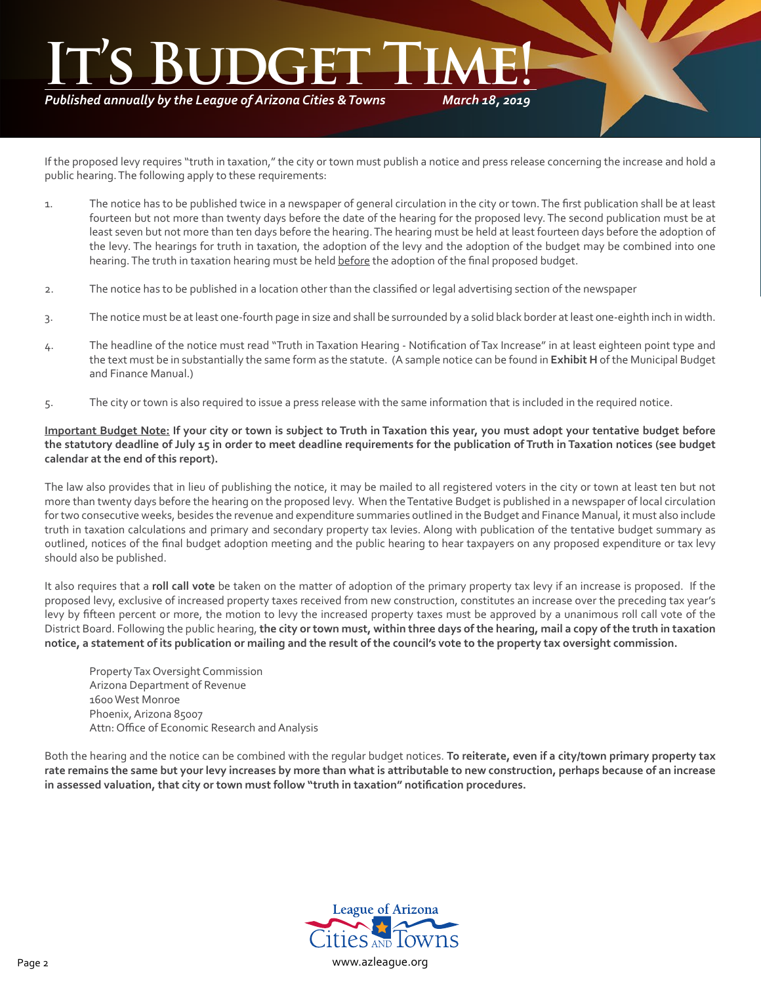*Published annually by the League of Arizona Cities & Towns*

*March 18, 2019*

If the proposed levy requires "truth in taxation," the city or town must publish a notice and press release concerning the increase and hold a public hearing. The following apply to these requirements:

- 1. The notice has to be published twice in a newspaper of general circulation in the city or town. The first publication shall be at least fourteen but not more than twenty days before the date of the hearing for the proposed levy. The second publication must be at least seven but not more than ten days before the hearing. The hearing must be held at least fourteen days before the adoption of the levy. The hearings for truth in taxation, the adoption of the levy and the adoption of the budget may be combined into one hearing. The truth in taxation hearing must be held before the adoption of the final proposed budget.
- 2. The notice has to be published in a location other than the classified or legal advertising section of the newspaper
- 3. The notice must be at least one-fourth page in size and shall be surrounded by a solid black border at least one-eighth inch in width.
- 4. The headline of the notice must read "Truth in Taxation Hearing Notification of Tax Increase" in at least eighteen point type and the text must be in substantially the same form as the statute. (A sample notice can be found in **Exhibit H** of the Municipal Budget and Finance Manual.)
- 5. The city or town is also required to issue a press release with the same information that is included in the required notice.

#### **Important Budget Note: If your city or town is subject to Truth in Taxation this year, you must adopt your tentative budget before the statutory deadline of July 15 in order to meet deadline requirements for the publication of Truth in Taxation notices (see budget calendar at the end of this report).**

The law also provides that in lieu of publishing the notice, it may be mailed to all registered voters in the city or town at least ten but not more than twenty days before the hearing on the proposed levy. When the Tentative Budget is published in a newspaper of local circulation for two consecutive weeks, besides the revenue and expenditure summaries outlined in the Budget and Finance Manual, it must also include truth in taxation calculations and primary and secondary property tax levies. Along with publication of the tentative budget summary as outlined, notices of the final budget adoption meeting and the public hearing to hear taxpayers on any proposed expenditure or tax levy should also be published.

It also requires that a **roll call vote** be taken on the matter of adoption of the primary property tax levy if an increase is proposed. If the proposed levy, exclusive of increased property taxes received from new construction, constitutes an increase over the preceding tax year's levy by fifteen percent or more, the motion to levy the increased property taxes must be approved by a unanimous roll call vote of the District Board. Following the public hearing, **the city or town must, within three days of the hearing, mail a copy of the truth in taxation notice, a statement of its publication or mailing and the result of the council's vote to the property tax oversight commission.**

Property Tax Oversight Commission Arizona Department of Revenue 1600 West Monroe Phoenix, Arizona 85007 Attn: Office of Economic Research and Analysis

Both the hearing and the notice can be combined with the regular budget notices. **To reiterate, even if a city/town primary property tax rate remains the same but your levy increases by more than what is attributable to new construction, perhaps because of an increase in assessed valuation, that city or town must follow "truth in taxation" notification procedures.**

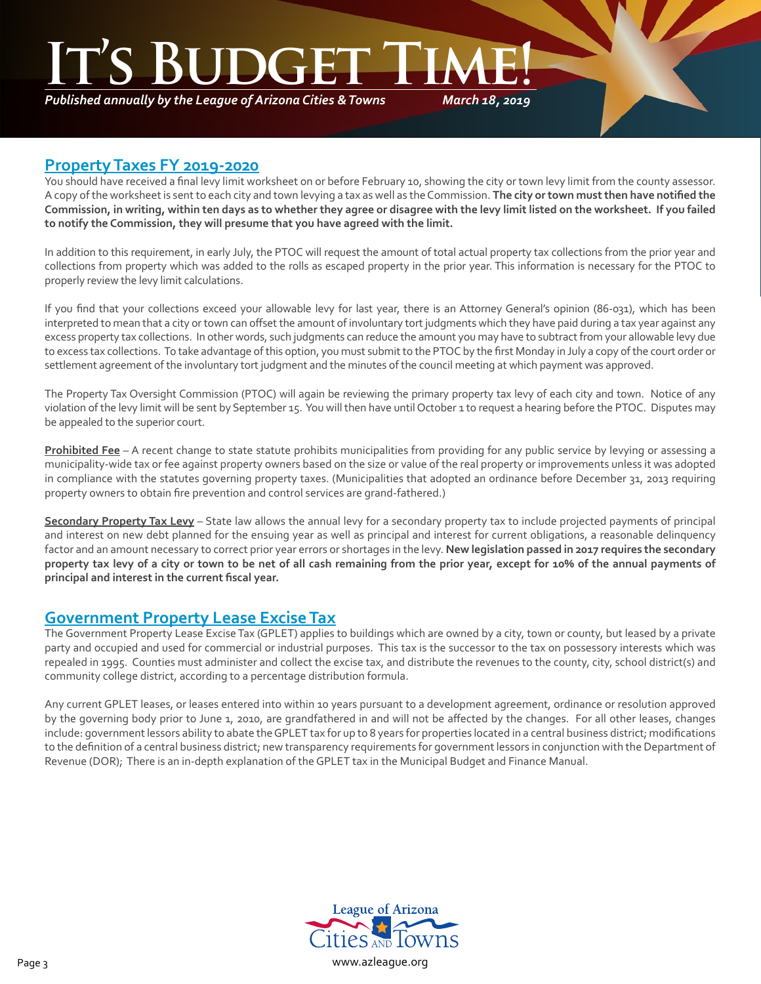*Published annually by the League of Arizona Cities & Towns*

*March 18, 2019*

### **Property Taxes FY 2019-2020**

You should have received a final levy limit worksheet on or before February 10, showing the city or town levy limit from the county assessor. A copy of the worksheet is sent to each city and town levying a tax as well as the Commission. **The city or town must then have notified the Commission, in writing, within ten days as to whether they agree or disagree with the levy limit listed on the worksheet. If you failed to notify the Commission, they will presume that you have agreed with the limit.**

In addition to this requirement, in early July, the PTOC will request the amount of total actual property tax collections from the prior year and collections from property which was added to the rolls as escaped property in the prior year. This information is necessary for the PTOC to properly review the levy limit calculations.

If you find that your collections exceed your allowable levy for last year, there is an Attorney General's opinion (86-031), which has been interpreted to mean that a city or town can offset the amount of involuntary tort judgments which they have paid during a tax year against any excess property tax collections. In other words, such judgments can reduce the amount you may have to subtract from your allowable levy due to excess tax collections. To take advantage of this option, you must submit to the PTOC by the first Monday in July a copy of the court order or settlement agreement of the involuntary tort judgment and the minutes of the council meeting at which payment was approved.

The Property Tax Oversight Commission (PTOC) will again be reviewing the primary property tax levy of each city and town. Notice of any violation of the levy limit will be sent by September 15. You will then have until October 1 to request a hearing before the PTOC. Disputes may be appealed to the superior court.

**Prohibited Fee** – A recent change to state statute prohibits municipalities from providing for any public service by levying or assessing a municipality-wide tax or fee against property owners based on the size or value of the real property or improvements unless it was adopted in compliance with the statutes governing property taxes. (Municipalities that adopted an ordinance before December 31, 2013 requiring property owners to obtain fire prevention and control services are grand-fathered.)

**Secondary Property Tax Levy** – State law allows the annual levy for a secondary property tax to include projected payments of principal and interest on new debt planned for the ensuing year as well as principal and interest for current obligations, a reasonable delinquency factor and an amount necessary to correct prior year errors or shortages in the levy. **New legislation passed in 2017 requires the secondary property tax levy of a city or town to be net of all cash remaining from the prior year, except for 10% of the annual payments of principal and interest in the current fiscal year.** 

## **Government Property Lease Excise Tax**

The Government Property Lease Excise Tax (GPLET) applies to buildings which are owned by a city, town or county, but leased by a private party and occupied and used for commercial or industrial purposes. This tax is the successor to the tax on possessory interests which was repealed in 1995. Counties must administer and collect the excise tax, and distribute the revenues to the county, city, school district(s) and community college district, according to a percentage distribution formula.

Any current GPLET leases, or leases entered into within 10 years pursuant to a development agreement, ordinance or resolution approved by the governing body prior to June 1, 2010, are grandfathered in and will not be affected by the changes. For all other leases, changes include: government lessors ability to abate the GPLET tax for up to 8 years for properties located in a central business district; modifications to the definition of a central business district; new transparency requirements for government lessors in conjunction with the Department of Revenue (DOR); There is an in-depth explanation of the GPLET tax in the Municipal Budget and Finance Manual.

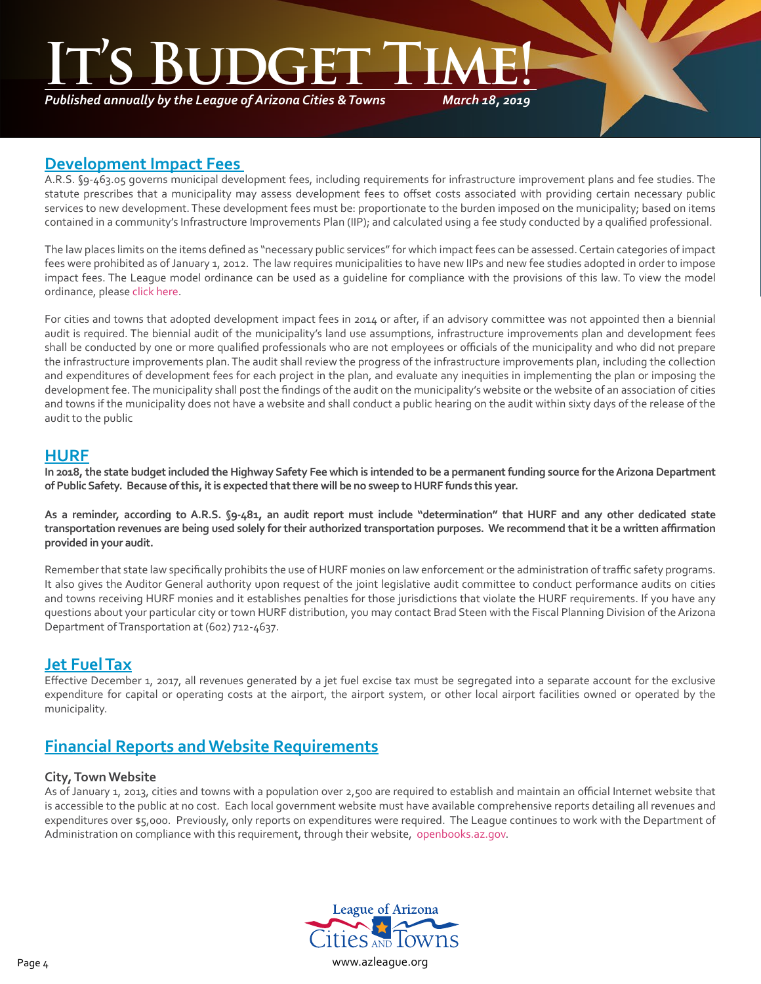*Published annually by the League of Arizona Cities & Towns*

*March 18, 2019*

### **Development Impact Fees**

A.R.S. §9-463.05 governs municipal development fees, including requirements for infrastructure improvement plans and fee studies. The statute prescribes that a municipality may assess development fees to offset costs associated with providing certain necessary public services to new development. These development fees must be: proportionate to the burden imposed on the municipality; based on items contained in a community's Infrastructure Improvements Plan (IIP); and calculated using a fee study conducted by a qualified professional.

The law places limits on the items defined as "necessary public services" for which impact fees can be assessed. Certain categories of impact fees were prohibited as of January 1, 2012. The law requires municipalities to have new IIPs and new fee studies adopted in order to impose impact fees. The League model ordinance can be used as a guideline for compliance with the provisions of this law. To view the model ordinance, please [click here](http://az-lact.civicplus.com/DocumentCenter/View/1708).

For cities and towns that adopted development impact fees in 2014 or after, if an advisory committee was not appointed then a biennial audit is required. The biennial audit of the municipality's land use assumptions, infrastructure improvements plan and development fees shall be conducted by one or more qualified professionals who are not employees or officials of the municipality and who did not prepare the infrastructure improvements plan. The audit shall review the progress of the infrastructure improvements plan, including the collection and expenditures of development fees for each project in the plan, and evaluate any inequities in implementing the plan or imposing the development fee. The municipality shall post the findings of the audit on the municipality's website or the website of an association of cities and towns if the municipality does not have a website and shall conduct a public hearing on the audit within sixty days of the release of the audit to the public

## **HURF**

**In 2018, the state budget included the Highway Safety Fee which is intended to be a permanent funding source for the Arizona Department of Public Safety. Because of this, it is expected that there will be no sweep to HURF funds this year.**

**As a reminder, according to A.R.S. §9-481, an audit report must include "determination" that HURF and any other dedicated state transportation revenues are being used solely for their authorized transportation purposes. We recommend that it be a written affirmation provided in your audit.**

Remember that state law specifically prohibits the use of HURF monies on law enforcement or the administration of traffic safety programs. It also gives the Auditor General authority upon request of the joint legislative audit committee to conduct performance audits on cities and towns receiving HURF monies and it establishes penalties for those jurisdictions that violate the HURF requirements. If you have any questions about your particular city or town HURF distribution, you may contact Brad Steen with the Fiscal Planning Division of the Arizona Department of Transportation at (602) 712-4637.

## **Jet Fuel Tax**

Effective December 1, 2017, all revenues generated by a jet fuel excise tax must be segregated into a separate account for the exclusive expenditure for capital or operating costs at the airport, the airport system, or other local airport facilities owned or operated by the municipality.

# **Financial Reports and Website Requirements**

#### **City, Town Website**

As of January 1, 2013, cities and towns with a population over 2,500 are required to establish and maintain an official Internet website that is accessible to the public at no cost. Each local government website must have available comprehensive reports detailing all revenues and expenditures over \$5,000. Previously, only reports on expenditures were required. The League continues to work with the Department of Administration on compliance with this requirement, through their website, [openbooks.az.gov](http://openbooks.az.gov).

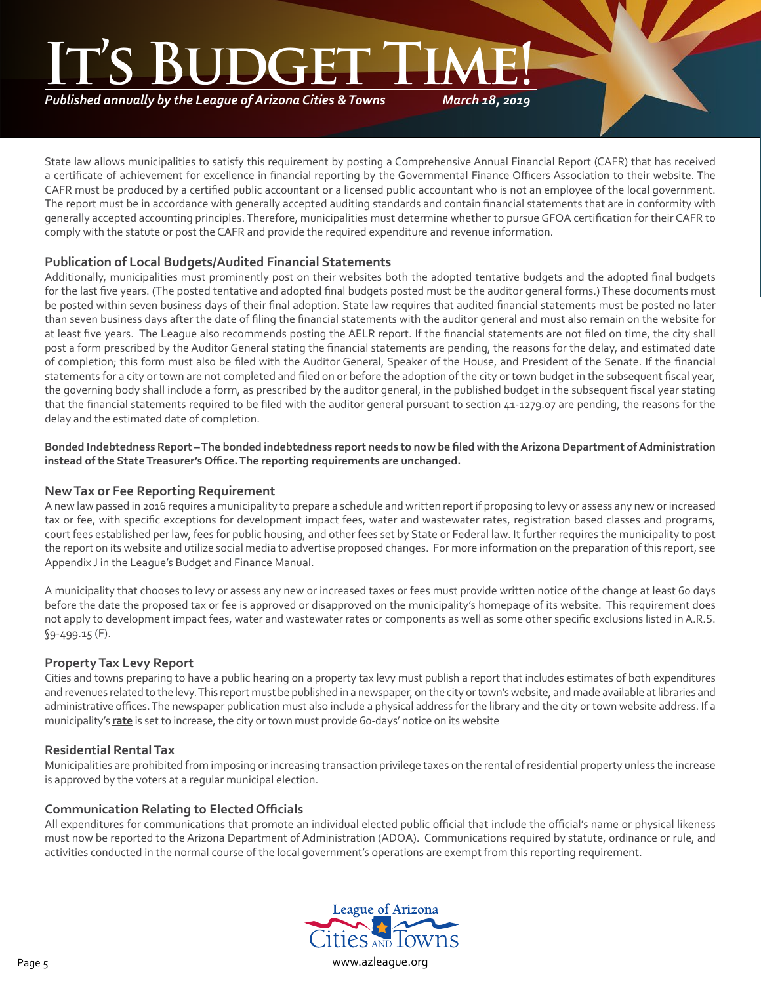# **S BUDGE**

*Published annually by the League of Arizona Cities & Towns*

*March 18, 2019*

State law allows municipalities to satisfy this requirement by posting a Comprehensive Annual Financial Report (CAFR) that has received a certificate of achievement for excellence in financial reporting by the Governmental Finance Officers Association to their website. The CAFR must be produced by a certified public accountant or a licensed public accountant who is not an employee of the local government. The report must be in accordance with generally accepted auditing standards and contain financial statements that are in conformity with generally accepted accounting principles. Therefore, municipalities must determine whether to pursue GFOA certification for their CAFR to comply with the statute or post the CAFR and provide the required expenditure and revenue information.

#### **Publication of Local Budgets/Audited Financial Statements**

Additionally, municipalities must prominently post on their websites both the adopted tentative budgets and the adopted final budgets for the last five years. (The posted tentative and adopted final budgets posted must be the auditor general forms.) These documents must be posted within seven business days of their final adoption. State law requires that audited financial statements must be posted no later than seven business days after the date of filing the financial statements with the auditor general and must also remain on the website for at least five years. The League also recommends posting the AELR report. If the financial statements are not filed on time, the city shall post a form prescribed by the Auditor General stating the financial statements are pending, the reasons for the delay, and estimated date of completion; this form must also be filed with the Auditor General, Speaker of the House, and President of the Senate. If the financial statements for a city or town are not completed and filed on or before the adoption of the city or town budget in the subsequent fiscal year, the governing body shall include a form, as prescribed by the auditor general, in the published budget in the subsequent fiscal year stating that the financial statements required to be filed with the auditor general pursuant to section 41-1279.07 are pending, the reasons for the delay and the estimated date of completion.

**Bonded Indebtedness Report – The bonded indebtedness report needs to now be filed with the Arizona Department of Administration instead of the State Treasurer's Office. The reporting requirements are unchanged.**

#### **New Tax or Fee Reporting Requirement**

A new law passed in 2016 requires a municipality to prepare a schedule and written report if proposing to levy or assess any new or increased tax or fee, with specific exceptions for development impact fees, water and wastewater rates, registration based classes and programs, court fees established per law, fees for public housing, and other fees set by State or Federal law. It further requires the municipality to post the report on its website and utilize social media to advertise proposed changes. For more information on the preparation of this report, see Appendix J in the League's Budget and Finance Manual.

A municipality that chooses to levy or assess any new or increased taxes or fees must provide written notice of the change at least 60 days before the date the proposed tax or fee is approved or disapproved on the municipality's homepage of its website. This requirement does not apply to development impact fees, water and wastewater rates or components as well as some other specific exclusions listed in A.R.S. §9-499.15 (F).

#### **Property Tax Levy Report**

Cities and towns preparing to have a public hearing on a property tax levy must publish a report that includes estimates of both expenditures and revenues related to the levy. This report must be published in a newspaper, on the city or town's website, and made available at libraries and administrative offices. The newspaper publication must also include a physical address for the library and the city or town website address. If a municipality's **rate** is set to increase, the city or town must provide 60-days' notice on its website

#### **Residential Rental Tax**

Municipalities are prohibited from imposing or increasing transaction privilege taxes on the rental of residential property unless the increase is approved by the voters at a regular municipal election.

#### **Communication Relating to Elected Officials**

All expenditures for communications that promote an individual elected public official that include the official's name or physical likeness must now be reported to the Arizona Department of Administration (ADOA). Communications required by statute, ordinance or rule, and activities conducted in the normal course of the local government's operations are exempt from this reporting requirement.

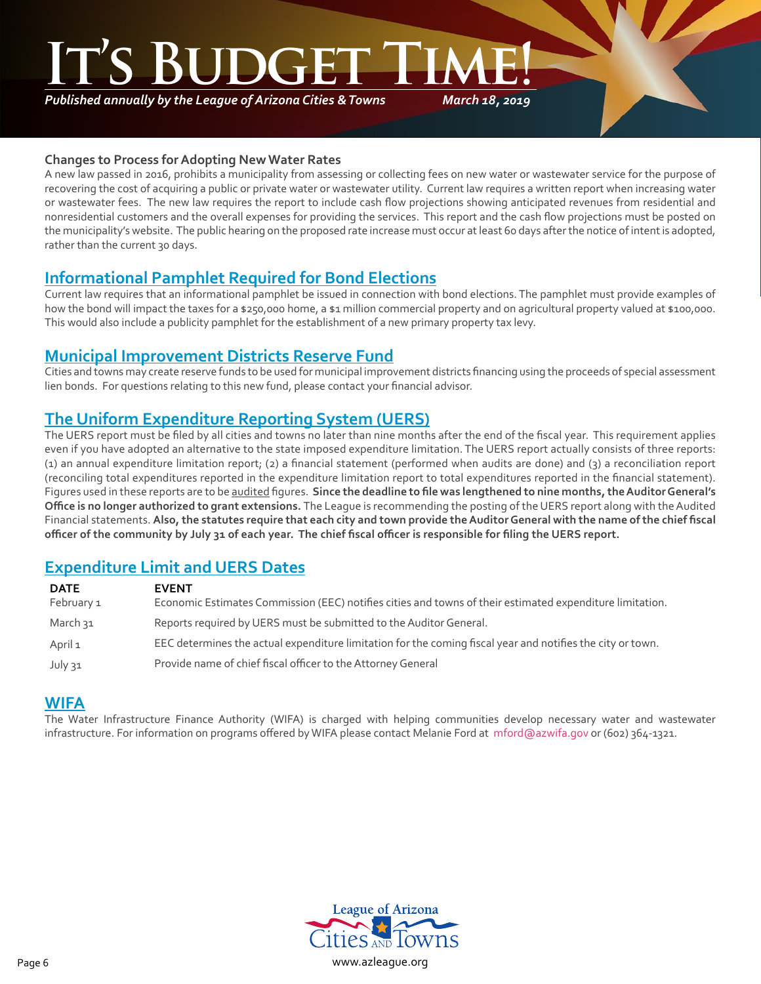*Published annually by the League of Arizona Cities & Towns*

*March 18, 2019*

#### **Changes to Process for Adopting New Water Rates**

A new law passed in 2016, prohibits a municipality from assessing or collecting fees on new water or wastewater service for the purpose of recovering the cost of acquiring a public or private water or wastewater utility. Current law requires a written report when increasing water or wastewater fees. The new law requires the report to include cash flow projections showing anticipated revenues from residential and nonresidential customers and the overall expenses for providing the services. This report and the cash flow projections must be posted on the municipality's website. The public hearing on the proposed rate increase must occur at least 60 days after the notice of intent is adopted, rather than the current 30 days.

# **Informational Pamphlet Required for Bond Elections**

Current law requires that an informational pamphlet be issued in connection with bond elections. The pamphlet must provide examples of how the bond will impact the taxes for a \$250,000 home, a \$1 million commercial property and on agricultural property valued at \$100,000. This would also include a publicity pamphlet for the establishment of a new primary property tax levy.

### **Municipal Improvement Districts Reserve Fund**

Cities and towns may create reserve funds to be used for municipal improvement districts financing using the proceeds of special assessment lien bonds. For questions relating to this new fund, please contact your financial advisor.

# **The Uniform Expenditure Reporting System (UERS)**

The UERS report must be filed by all cities and towns no later than nine months after the end of the fiscal year. This requirement applies even if you have adopted an alternative to the state imposed expenditure limitation. The UERS report actually consists of three reports: (1) an annual expenditure limitation report; (2) a financial statement (performed when audits are done) and (3) a reconciliation report (reconciling total expenditures reported in the expenditure limitation report to total expenditures reported in the financial statement). Figures used in these reports are to be audited figures. **Since the deadline to file was lengthened to nine months, the Auditor General's Office is no longer authorized to grant extensions.** The League is recommending the posting of the UERS report along with the Audited Financial statements. **Also, the statutes require that each city and town provide the Auditor General with the name of the chief fiscal officer of the community by July 31 of each year. The chief fiscal officer is responsible for filing the UERS report.**

# **Expenditure Limit and UERS Dates**

| <b>DATE</b> | <b>EVENT</b>                                                                                               |
|-------------|------------------------------------------------------------------------------------------------------------|
| February 1  | Economic Estimates Commission (EEC) notifies cities and towns of their estimated expenditure limitation.   |
| March 31    | Reports required by UERS must be submitted to the Auditor General.                                         |
| April 1     | EEC determines the actual expenditure limitation for the coming fiscal year and notifies the city or town. |
| July 31     | Provide name of chief fiscal officer to the Attorney General                                               |

### **WIFA**

The Water Infrastructure Finance Authority (WIFA) is charged with helping communities develop necessary water and wastewater infrastructure. For information on programs offered by WIFA please contact Melanie Ford at mford@azwifa.gov or (602) 364-1321.

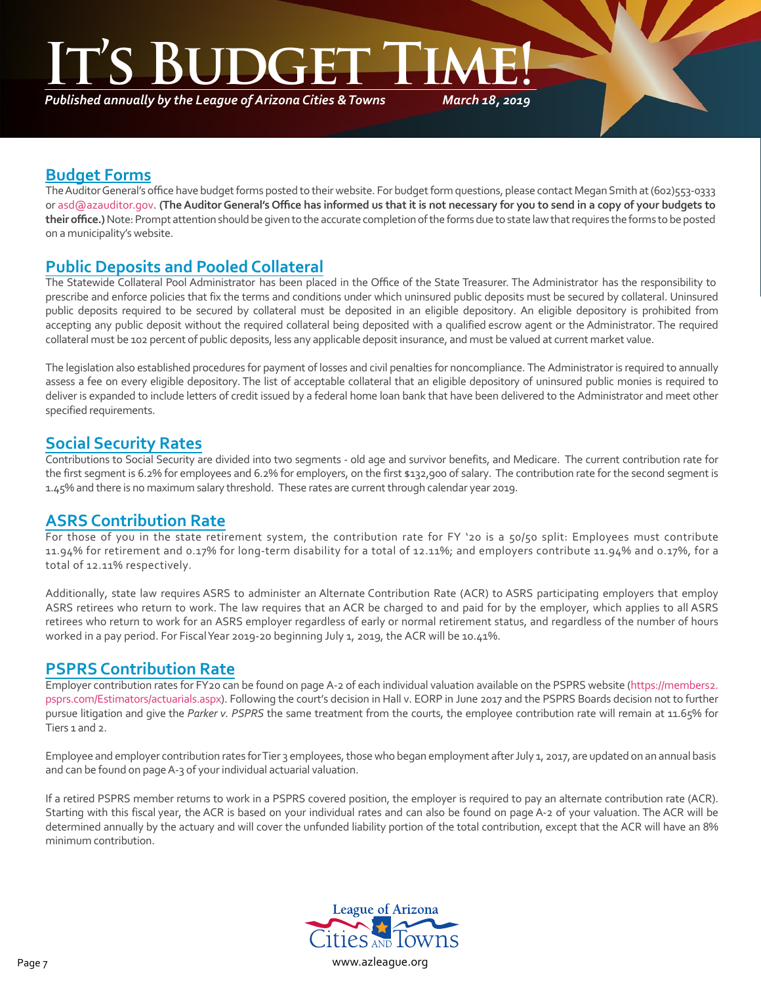# **INGER**

*Published annually by the League of Arizona Cities & Towns*

*March 18, 2019*

# **Budget Forms**

The Auditor General's office have budget forms posted to their website. For budget form questions, please contact Megan Smith at (602)553-0333 or asd@azauditor.gov. **(The Auditor General's Office has informed us that it is not necessary for you to send in a copy of your budgets to their office.)** Note: Prompt attention should be given to the accurate completion of the forms due to state law that requires the forms to be posted on a municipality's website.

# **Public Deposits and Pooled Collateral**

The Statewide Collateral Pool Administrator has been placed in the Office of the State Treasurer. The Administrator has the responsibility to prescribe and enforce policies that fix the terms and conditions under which uninsured public deposits must be secured by collateral. Uninsured public deposits required to be secured by collateral must be deposited in an eligible depository. An eligible depository is prohibited from accepting any public deposit without the required collateral being deposited with a qualified escrow agent or the Administrator. The required collateral must be 102 percent of public deposits, less any applicable deposit insurance, and must be valued at current market value.

The legislation also established procedures for payment of losses and civil penalties for noncompliance. The Administrator is required to annually assess a fee on every eligible depository. The list of acceptable collateral that an eligible depository of uninsured public monies is required to deliver is expanded to include letters of credit issued by a federal home loan bank that have been delivered to the Administrator and meet other specified requirements.

# **Social Security Rates**

Contributions to Social Security are divided into two segments - old age and survivor benefits, and Medicare. The current contribution rate for the first segment is 6.2% for employees and 6.2% for employers, on the first \$132,900 of salary. The contribution rate for the second segment is 1.45% and there is no maximum salary threshold. These rates are current through calendar year 2019.

# **ASRS Contribution Rate**

For those of you in the state retirement system, the contribution rate for FY '20 is a 50/50 split: Employees must contribute 11.94% for retirement and 0.17% for long-term disability for a total of 12.11%; and employers contribute 11.94% and 0.17%, for a total of 12.11% respectively.

Additionally, state law requires ASRS to administer an Alternate Contribution Rate (ACR) to ASRS participating employers that employ ASRS retirees who return to work. The law requires that an ACR be charged to and paid for by the employer, which applies to all ASRS retirees who return to work for an ASRS employer regardless of early or normal retirement status, and regardless of the number of hours worked in a pay period. For Fiscal Year 2019-20 beginning July 1, 2019, the ACR will be 10.41%.

## **PSPRS Contribution Rate**

Employer contribution rates for FY20 can be found on page A-2 of each individual valuation available on the PSPRS website (https://members2. psprs.com/Estimators/actuarials.aspx). Following the court's decision in Hall v. EORP in June 2017 and the PSPRS Boards de[cision not to further](https://members2.psprs.com/Estimators/actuarials.aspx) [pursue litigation and give the](https://members2.psprs.com/Estimators/actuarials.aspx) *Parker v. PSPRS* the same treatment from the courts, the employee contribution rate will remain at 11.65% for Tiers 1 and 2.

Employee and employer contribution rates for Tier 3 employees, those who began employment after July 1, 2017, are updated on an annual basis and can be found on page A-3 of your individual actuarial valuation.

If a retired PSPRS member returns to work in a PSPRS covered position, the employer is required to pay an alternate contribution rate (ACR). Starting with this fiscal year, the ACR is based on your individual rates and can also be found on page A-2 of your valuation. The ACR will be determined annually by the actuary and will cover the unfunded liability portion of the total contribution, except that the ACR will have an 8% minimum contribution.

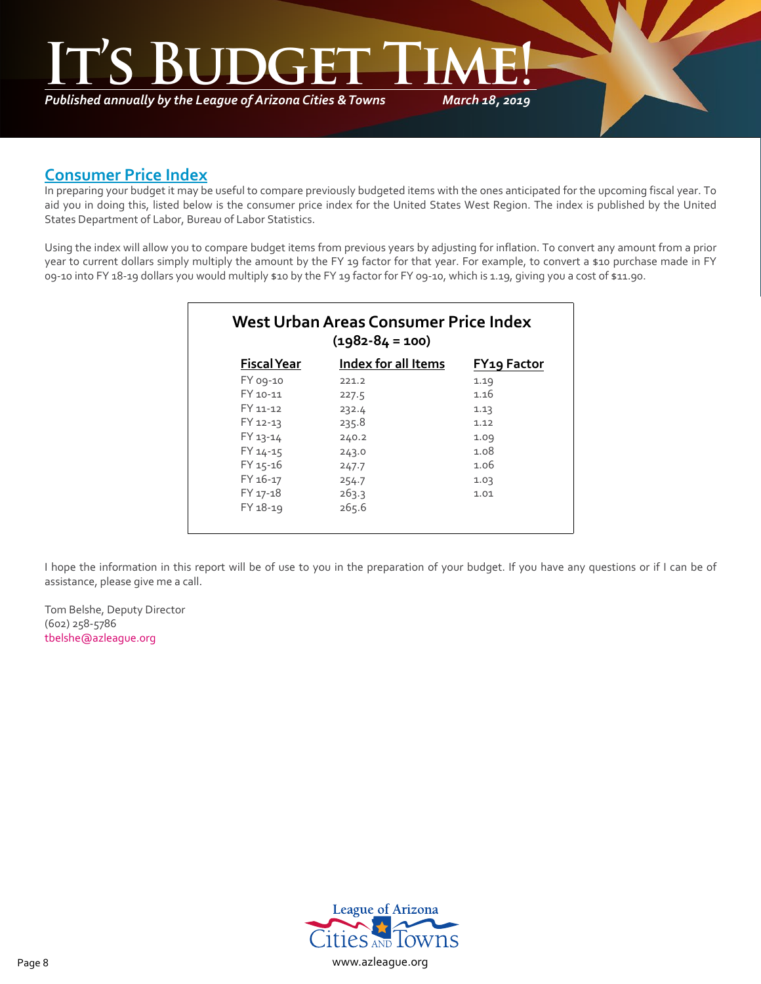*March 18, 2019* **It's Budget Time!**

*Published annually by the League of Arizona Cities & Towns*

# **Consumer Price Index**

In preparing your budget it may be useful to compare previously budgeted items with the ones anticipated for the upcoming fiscal year. To aid you in doing this, listed below is the consumer price index for the United States West Region. The index is published by the United States Department of Labor, Bureau of Labor Statistics.

Using the index will allow you to compare budget items from previous years by adjusting for inflation. To convert any amount from a prior year to current dollars simply multiply the amount by the FY 19 factor for that year. For example, to convert a \$10 purchase made in FY 09-10 into FY 18-19 dollars you would multiply \$10 by the FY 19 factor for FY 09-10, which is 1.19, giving you a cost of \$11.90.

| West Urban Areas Consumer Price Index<br>$(1982 - 84 = 100)$ |                     |                    |  |  |
|--------------------------------------------------------------|---------------------|--------------------|--|--|
| <b>Fiscal Year</b>                                           | Index for all Items | <b>FY19 Factor</b> |  |  |
| FY 09-10                                                     | 221.2               | 1.19               |  |  |
| FY 10-11                                                     | 227.5               | 1.16               |  |  |
| FY 11-12                                                     | 232.4               | 1.13               |  |  |
| FY 12-13                                                     | 235.8               | 1.12               |  |  |
| FY 13-14                                                     | 240.2               | 1.09               |  |  |
| FY 14-15                                                     | 243.0               | 1.08               |  |  |
| FY 15-16                                                     | 247.7               | 1.06               |  |  |
| FY 16-17                                                     | 254.7               | 1.03               |  |  |
| FY 17-18                                                     | 263.3               | 1.01               |  |  |
| FY 18-19                                                     | 265.6               |                    |  |  |

I hope the information in this report will be of use to you in the preparation of your budget. If you have any questions or if I can be of assistance, please give me a call.

Tom Belshe, Deputy Director (602) 258-5786 [tbelshe@azleague.org](mailto:tbelshe@azleague.org)

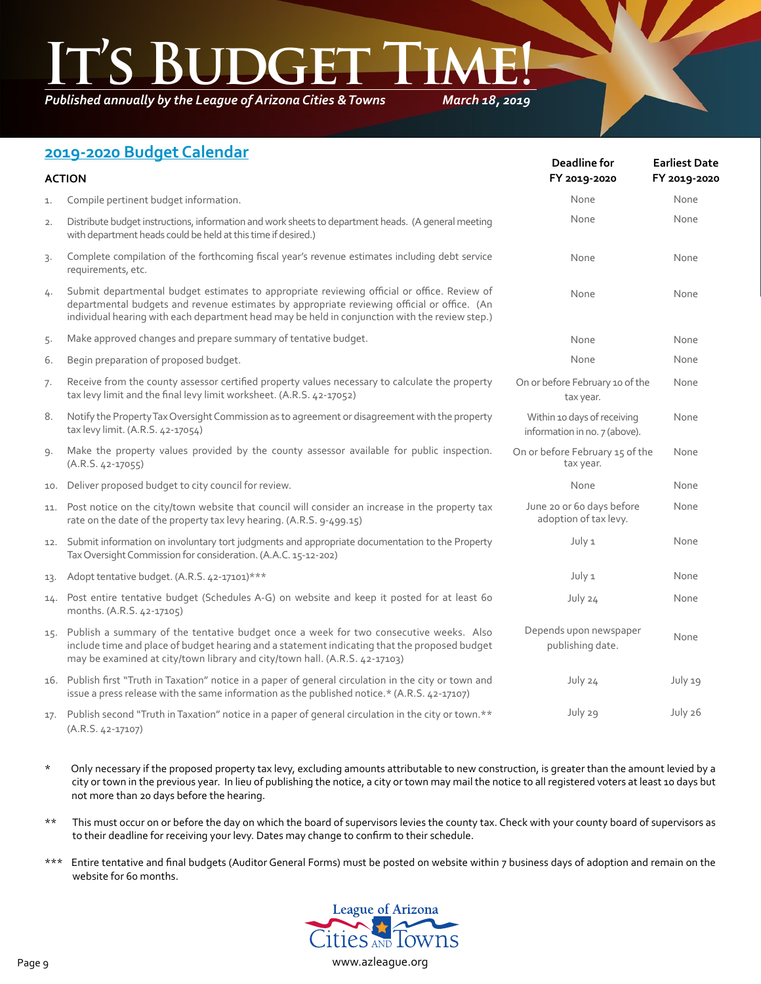*Published annually by the League of Arizona Cities & Towns*

*March 18, 2019*

# **2019-2020 Budget Calendar**

| $2019$ zozo bouget calcridar<br><b>ACTION</b> |                                                                                                                                                                                                                                                                                              | Deadline for<br>FY 2019-2020                                 | <b>Earliest Date</b><br>FY 2019-2020 |  |
|-----------------------------------------------|----------------------------------------------------------------------------------------------------------------------------------------------------------------------------------------------------------------------------------------------------------------------------------------------|--------------------------------------------------------------|--------------------------------------|--|
| 1.                                            | Compile pertinent budget information.                                                                                                                                                                                                                                                        | None                                                         | None                                 |  |
| 2.                                            | Distribute budget instructions, information and work sheets to department heads. (A general meeting<br>with department heads could be held at this time if desired.)                                                                                                                         | None                                                         | None                                 |  |
| 3.                                            | Complete compilation of the forthcoming fiscal year's revenue estimates including debt service<br>requirements, etc.                                                                                                                                                                         | None                                                         | None                                 |  |
| 4.                                            | Submit departmental budget estimates to appropriate reviewing official or office. Review of<br>departmental budgets and revenue estimates by appropriate reviewing official or office. (An<br>individual hearing with each department head may be held in conjunction with the review step.) | None                                                         | None                                 |  |
| 5.                                            | Make approved changes and prepare summary of tentative budget.                                                                                                                                                                                                                               | None                                                         | None                                 |  |
| 6.                                            | Begin preparation of proposed budget.                                                                                                                                                                                                                                                        | None                                                         | None                                 |  |
| 7.                                            | Receive from the county assessor certified property values necessary to calculate the property<br>tax levy limit and the final levy limit worksheet. (A.R.S. 42-17052)                                                                                                                       | On or before February 10 of the<br>tax year.                 | None                                 |  |
| 8.                                            | Notify the Property Tax Oversight Commission as to agreement or disagreement with the property<br>tax levy limit. (A.R.S. 42-17054)                                                                                                                                                          | Within 10 days of receiving<br>information in no. 7 (above). | None                                 |  |
| 9.                                            | Make the property values provided by the county assessor available for public inspection.<br>$(A.R.S. 42-17055)$                                                                                                                                                                             | On or before February 15 of the<br>tax year.                 | None                                 |  |
| 10.                                           | Deliver proposed budget to city council for review.                                                                                                                                                                                                                                          | None                                                         | None                                 |  |
| 11.                                           | Post notice on the city/town website that council will consider an increase in the property tax<br>rate on the date of the property tax levy hearing. (A.R.S. 9-499.15)                                                                                                                      | June 20 or 60 days before<br>adoption of tax levy.           | None                                 |  |
|                                               | 12. Submit information on involuntary tort judgments and appropriate documentation to the Property<br>Tax Oversight Commission for consideration. (A.A.C. 15-12-202)                                                                                                                         | July 1                                                       | None                                 |  |
| 13.                                           | Adopt tentative budget. (A.R.S. 42-17101)***                                                                                                                                                                                                                                                 | July 1                                                       | None                                 |  |
| 14.                                           | Post entire tentative budget (Schedules A-G) on website and keep it posted for at least 60<br>months. (A.R.S. 42-17105)                                                                                                                                                                      | July 24                                                      | None                                 |  |
| 15.                                           | Publish a summary of the tentative budget once a week for two consecutive weeks. Also<br>include time and place of budget hearing and a statement indicating that the proposed budget<br>may be examined at city/town library and city/town hall. (A.R.S. 42-17103)                          | Depends upon newspaper<br>publishing date.                   | None                                 |  |
|                                               | 16. Publish first "Truth in Taxation" notice in a paper of general circulation in the city or town and<br>issue a press release with the same information as the published notice.* (A.R.S. 42-17107)                                                                                        | July 24                                                      | July 19                              |  |
| 17.                                           | Publish second "Truth in Taxation" notice in a paper of general circulation in the city or town.**<br>$(A.R.S. 42-17107)$                                                                                                                                                                    | July 29                                                      | July 26                              |  |

- \* Only necessary if the proposed property tax levy, excluding amounts attributable to new construction, is greater than the amount levied by a city or town in the previous year. In lieu of publishing the notice, a city or town may mail the notice to all registered voters at least 10 days but not more than 20 days before the hearing.
- \*\* This must occur on or before the day on which the board of supervisors levies the county tax. Check with your county board of supervisors as to their deadline for receiving your levy. Dates may change to confirm to their schedule.
- \*\*\* Entire tentative and final budgets (Auditor General Forms) must be posted on website within 7 business days of adoption and remain on the website for 60 months.